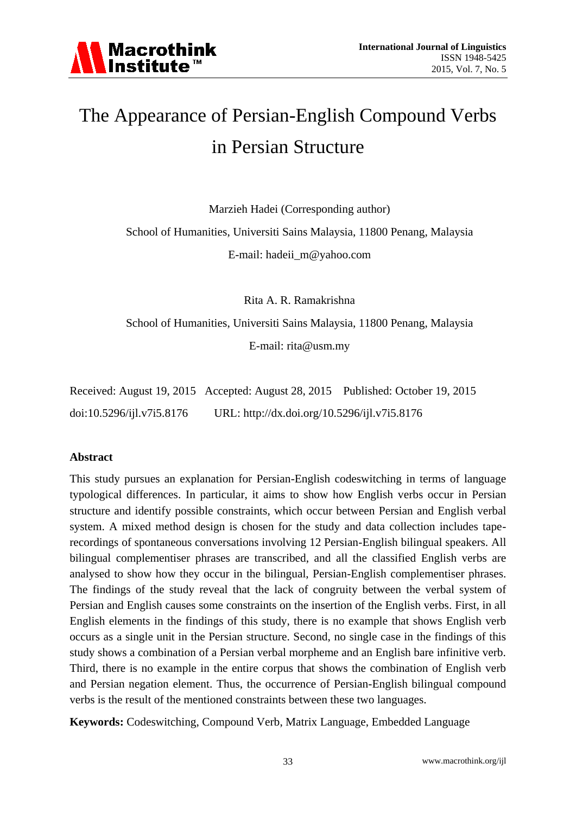# The Appearance of Persian-English Compound Verbs in Persian Structure

Marzieh Hadei (Corresponding author)

School of Humanities, Universiti Sains Malaysia, 11800 Penang, Malaysia

E-mail: hadeii\_m@yahoo.com

Rita A. R. Ramakrishna

School of Humanities, Universiti Sains Malaysia, 11800 Penang, Malaysia

E-mail: rita@usm.my

|                           |                                              | Received: August 19, 2015 Accepted: August 28, 2015 Published: October 19, 2015 |
|---------------------------|----------------------------------------------|---------------------------------------------------------------------------------|
| doi:10.5296/ijl.v7i5.8176 | URL: http://dx.doi.org/10.5296/ijl.v7i5.8176 |                                                                                 |

#### **Abstract**

This study pursues an explanation for Persian-English codeswitching in terms of language typological differences. In particular, it aims to show how English verbs occur in Persian structure and identify possible constraints, which occur between Persian and English verbal system. A mixed method design is chosen for the study and data collection includes taperecordings of spontaneous conversations involving 12 Persian-English bilingual speakers. All bilingual complementiser phrases are transcribed, and all the classified English verbs are analysed to show how they occur in the bilingual, Persian-English complementiser phrases. The findings of the study reveal that the lack of congruity between the verbal system of Persian and English causes some constraints on the insertion of the English verbs. First, in all English elements in the findings of this study, there is no example that shows English verb occurs as a single unit in the Persian structure. Second, no single case in the findings of this study shows a combination of a Persian verbal morpheme and an English bare infinitive verb. Third, there is no example in the entire corpus that shows the combination of English verb and Persian negation element. Thus, the occurrence of Persian-English bilingual compound verbs is the result of the mentioned constraints between these two languages.

**Keywords:** Codeswitching, Compound Verb, Matrix Language, Embedded Language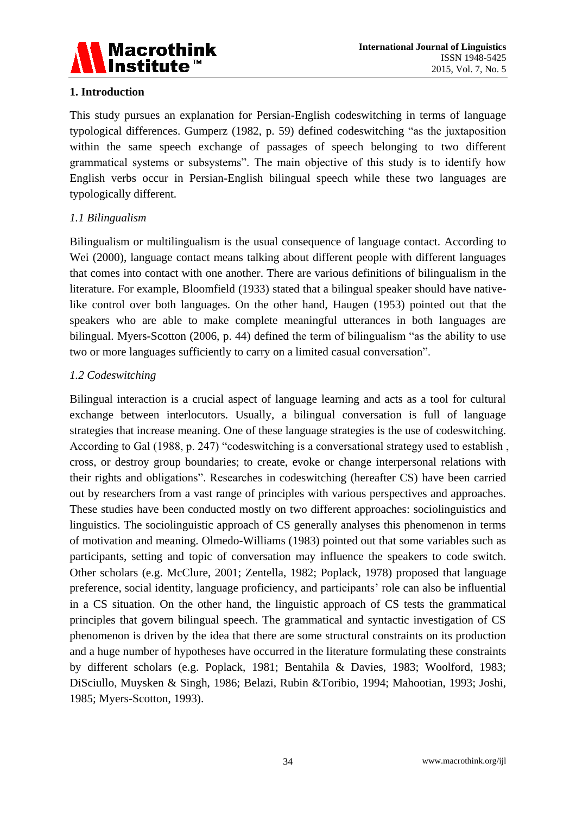

#### **1. Introduction**

This study pursues an explanation for Persian-English codeswitching in terms of language typological differences. Gumperz (1982, p. 59) defined codeswitching "as the juxtaposition within the same speech exchange of passages of speech belonging to two different grammatical systems or subsystems". The main objective of this study is to identify how English verbs occur in Persian-English bilingual speech while these two languages are typologically different.

#### *1.1 Bilingualism*

Bilingualism or multilingualism is the usual consequence of language contact. According to Wei (2000), language contact means talking about different people with different languages that comes into contact with one another. There are various definitions of bilingualism in the literature. For example, Bloomfield (1933) stated that a bilingual speaker should have nativelike control over both languages. On the other hand, Haugen (1953) pointed out that the speakers who are able to make complete meaningful utterances in both languages are bilingual. Myers-Scotton (2006, p. 44) defined the term of bilingualism "as the ability to use two or more languages sufficiently to carry on a limited casual conversation".

#### *1.2 Codeswitching*

Bilingual interaction is a crucial aspect of language learning and acts as a tool for cultural exchange between interlocutors. Usually, a bilingual conversation is full of language strategies that increase meaning. One of these language strategies is the use of codeswitching. According to Gal (1988, p. 247) "codeswitching is a conversational strategy used to establish , cross, or destroy group boundaries; to create, evoke or change interpersonal relations with their rights and obligations". Researches in codeswitching (hereafter CS) have been carried out by researchers from a vast range of principles with various perspectives and approaches. These studies have been conducted mostly on two different approaches: sociolinguistics and linguistics. The sociolinguistic approach of CS generally analyses this phenomenon in terms of motivation and meaning. Olmedo-Williams (1983) pointed out that some variables such as participants, setting and topic of conversation may influence the speakers to code switch. Other scholars (e.g. McClure, 2001; Zentella, 1982; Poplack, 1978) proposed that language preference, social identity, language proficiency, and participants' role can also be influential in a CS situation. On the other hand, the linguistic approach of CS tests the grammatical principles that govern bilingual speech. The grammatical and syntactic investigation of CS phenomenon is driven by the idea that there are some structural constraints on its production and a huge number of hypotheses have occurred in the literature formulating these constraints by different scholars (e.g. Poplack, 1981; Bentahila & Davies, 1983; Woolford, 1983; DiSciullo, Muysken & Singh, 1986; Belazi, Rubin &Toribio, 1994; Mahootian, 1993; Joshi, 1985; Myers-Scotton, 1993).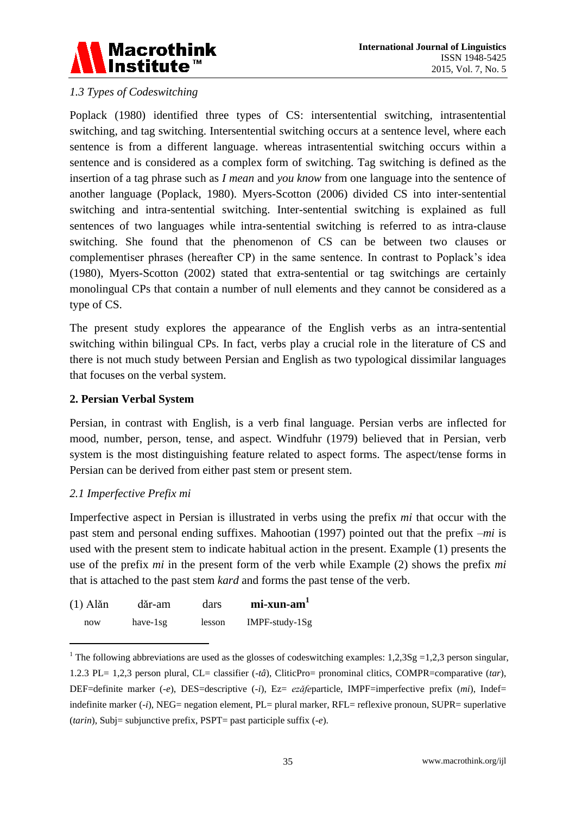

#### *1.3 Types of Codeswitching*

Poplack (1980) identified three types of CS: intersentential switching, intrasentential switching, and tag switching. Intersentential switching occurs at a sentence level, where each sentence is from a different language. whereas intrasentential switching occurs within a sentence and is considered as a complex form of switching. Tag switching is defined as the insertion of a tag phrase such as *I mean* and *you know* from one language into the sentence of another language (Poplack, 1980). Myers-Scotton (2006) divided CS into inter-sentential switching and intra-sentential switching. Inter-sentential switching is explained as full sentences of two languages while intra-sentential switching is referred to as intra-clause switching. She found that the phenomenon of CS can be between two clauses or complementiser phrases (hereafter CP) in the same sentence. In contrast to Poplack's idea (1980), Myers-Scotton (2002) stated that extra-sentential or tag switchings are certainly monolingual CPs that contain a number of null elements and they cannot be considered as a type of CS.

The present study explores the appearance of the English verbs as an intra-sentential switching within bilingual CPs. In fact, verbs play a crucial role in the literature of CS and there is not much study between Persian and English as two typological dissimilar languages that focuses on the verbal system.

#### **2. Persian Verbal System**

Persian, in contrast with English, is a verb final language. Persian verbs are inflected for mood, number, person, tense, and aspect. Windfuhr (1979) believed that in Persian, verb system is the most distinguishing feature related to aspect forms. The aspect/tense forms in Persian can be derived from either past stem or present stem.

#### *2.1 Imperfective Prefix mi*

1

Imperfective aspect in Persian is illustrated in verbs using the prefix *mi* that occur with the past stem and personal ending suffixes. Mahootian (1997) pointed out that the prefix –*mi* is used with the present stem to indicate habitual action in the present. Example (1) presents the use of the prefix *mi* in the present form of the verb while Example (2) shows the prefix *mi* that is attached to the past stem *kard* and forms the past tense of the verb.

| $(1)$ Alăn | dăr-am       | dars   | $mi$ -xun-am <sup>1</sup> |
|------------|--------------|--------|---------------------------|
| now        | have- $1$ sg | lesson | $IMPF-study-1Sg$          |

<sup>&</sup>lt;sup>1</sup> The following abbreviations are used as the glosses of codeswitching examples:  $1,2,3Sg = 1,2,3$  person singular, 1.2.3 PL= 1,2,3 person plural, CL= classifier (-*tâ*), CliticPro= pronominal clitics, COMPR=comparative (*tar*), DEF=definite marker (*-e*), DES=descriptive (-*i*), Ez= *ezǎfe*particle*,* IMPF=imperfective prefix (*mi*), Indef= indefinite marker (*-i*), NEG= negation element, PL= plural marker, RFL= reflexive pronoun, SUPR= superlative (*tarin*), Subj= subjunctive prefix, PSPT= past participle suffix (*-e*).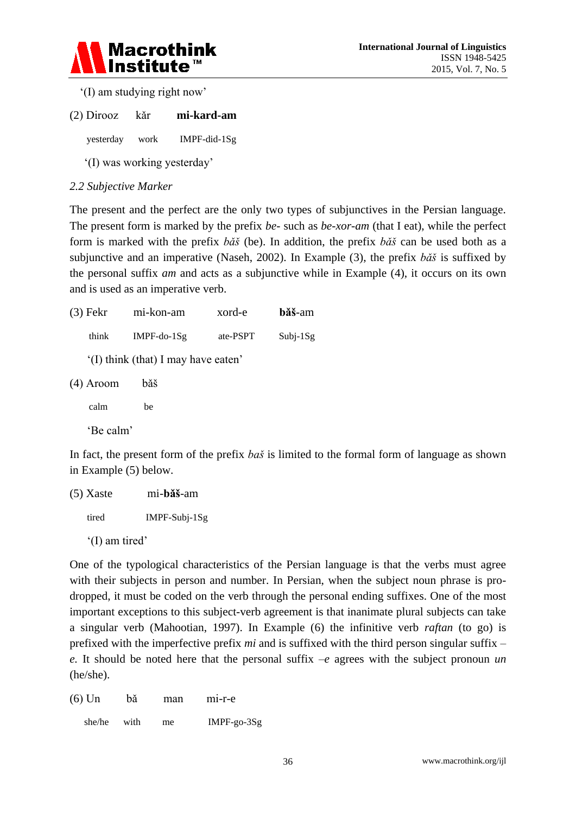

'(I) am studying right now'

(2) Dirooz kǎr **mi-kard-am**

yesterday work IMPF-did-1Sg

'(I) was working yesterday'

#### *2.2 Subjective Marker*

The present and the perfect are the only two types of subjunctives in the Persian language. The present form is marked by the prefix *be-* such as *be-xor-am* (that I eat), while the perfect form is marked with the prefix *bǎš* (be). In addition, the prefix *bǎš* can be used both as a subjunctive and an imperative (Naseh, 2002). In Example (3), the prefix *bǎš* is suffixed by the personal suffix *am* and acts as a subjunctive while in Example (4), it occurs on its own and is used as an imperative verb.

| $(3)$ Fekr  | mi-kon-am                          | xord-e   | băš-am     |
|-------------|------------------------------------|----------|------------|
| think       | $IMPF-do-1Sg$                      | ate-PSPT | $Subi-1Sg$ |
|             | (I) think (that) I may have eaten' |          |            |
| $(4)$ Aroom | băš                                |          |            |
| calm        | be                                 |          |            |
| 'Be calm'   |                                    |          |            |

In fact, the present form of the prefix *baš* is limited to the formal form of language as shown in Example (5) below.

(5) Xaste mi-**bǎš**-am tired IMPF-Subj-1Sg '(I) am tired'

One of the typological characteristics of the Persian language is that the verbs must agree with their subjects in person and number. In Persian, when the subject noun phrase is prodropped, it must be coded on the verb through the personal ending suffixes. One of the most important exceptions to this subject-verb agreement is that inanimate plural subjects can take a singular verb (Mahootian, 1997). In Example (6) the infinitive verb *raftan* (to go) is prefixed with the imperfective prefix *mi* and is suffixed with the third person singular suffix – *e.* It should be noted here that the personal suffix  $-e$  agrees with the subject pronoun *un* (he/she).

(6) Un bǎ man mi-r-e

she/he with me IMPF-go-3Sg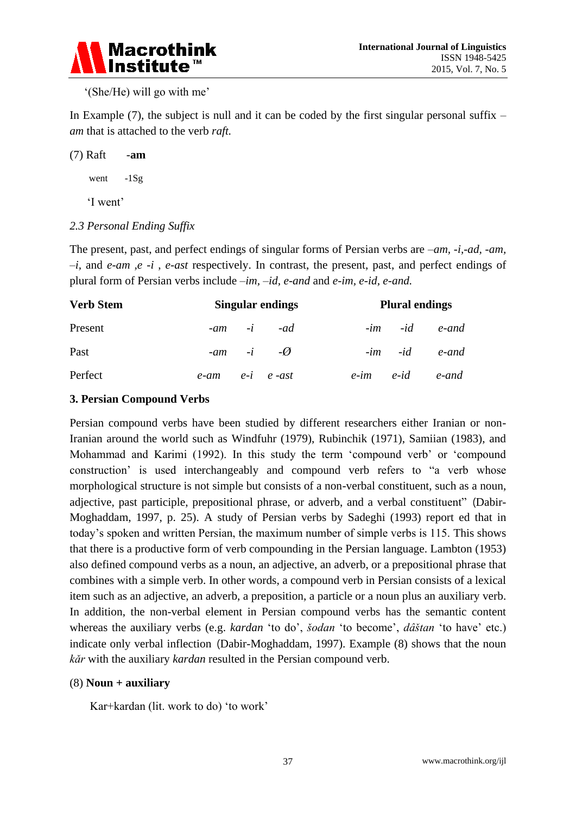

#### '(She/He) will go with me'

In Example  $(7)$ , the subject is null and it can be coded by the first singular personal suffix – *am* that is attached to the verb *raft.*

(7) Raft -**am** went -1Sg 'I went'

#### *2.3 Personal Ending Suffix*

The present, past, and perfect endings of singular forms of Persian verbs are *–am, -i,-ad, -am, –i,* and *e-am ,e -i* , *e-ast* respectively. In contrast, the present, past, and perfect endings of plural form of Persian verbs include *–im, –id, e-and* and *e-im, e-id, e-and.*

| <b>Verb Stem</b> |                         | <b>Singular endings</b> |                           |  | <b>Plural endings</b> |                          |  |
|------------------|-------------------------|-------------------------|---------------------------|--|-----------------------|--------------------------|--|
| Present          |                         |                         | $-am$ $-i$ $-ad$          |  |                       | $-im -id$ $e$ -and       |  |
| Past             |                         |                         | $-am$ $-i$ $-\varnothing$ |  |                       | $-im - id$ $e$ -and      |  |
| Perfect          | $e$ -am $e$ -i $e$ -ast |                         |                           |  |                       | $e$ -im $e$ -id $e$ -and |  |

#### **3. Persian Compound Verbs**

Persian compound verbs have been studied by different researchers either Iranian or non-Iranian around the world such as Windfuhr (1979), Rubinchik (1971), Samiian (1983), and Mohammad and Karimi (1992). In this study the term 'compound verb' or 'compound construction' is used interchangeably and compound verb refers to "a verb whose morphological structure is not simple but consists of a non-verbal constituent, such as a noun, adjective, past participle, prepositional phrase, or adverb, and a verbal constituent" (Dabir-Moghaddam, 1997, p. 25). A study of Persian verbs by Sadeghi (1993) report ed that in today's spoken and written Persian, the maximum number of simple verbs is 115. This shows that there is a productive form of verb compounding in the Persian language. Lambton (1953) also defined compound verbs as a noun, an adjective, an adverb, or a prepositional phrase that combines with a simple verb. In other words, a compound verb in Persian consists of a lexical item such as an adjective, an adverb, a preposition, a particle or a noun plus an auxiliary verb. In addition, the non-verbal element in Persian compound verbs has the semantic content whereas the auxiliary verbs (e.g. *kardan* 'to do', *šodan* 'to become', *dâštan* 'to have' etc.) indicate only verbal inflection (Dabir-Moghaddam, 1997). Example (8) shows that the noun *kǎr* with the auxiliary *kardan* resulted in the Persian compound verb.

#### (8) **Noun + auxiliary**

Kar+kardan (lit. work to do) 'to work'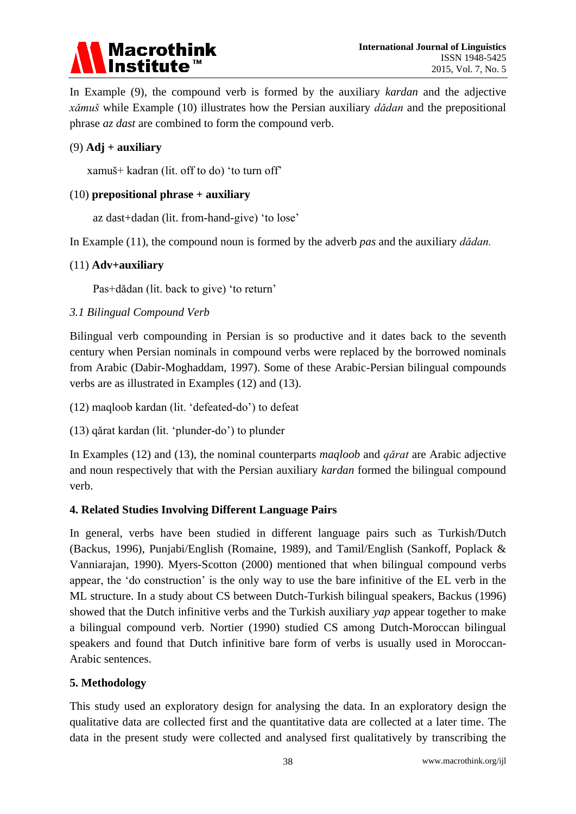# **Macrothink Institute**

In Example (9), the compound verb is formed by the auxiliary *kardan* and the adjective *xǎmuš* while Example (10) illustrates how the Persian auxiliary *dǎdan* and the prepositional phrase *az dast* are combined to form the compound verb.

#### (9) **Adj + auxiliary**

xamuš+ kadran (lit. off to do) 'to turn off'

#### (10) **prepositional phrase + auxiliary**

az dast+dadan (lit. from-hand-give) 'to lose'

In Example (11), the compound noun is formed by the adverb *pas* and the auxiliary *dǎdan.*

#### (11) **Adv+auxiliary**

Pas+dǎdan (lit. back to give) 'to return'

#### *3.1 Bilingual Compound Verb*

Bilingual verb compounding in Persian is so productive and it dates back to the seventh century when Persian nominals in compound verbs were replaced by the borrowed nominals from Arabic (Dabir-Moghaddam, 1997). Some of these Arabic-Persian bilingual compounds verbs are as illustrated in Examples (12) and (13).

(12) maqloob kardan (lit. 'defeated-do') to defeat

(13) qǎrat kardan (lit. 'plunder-do') to plunder

In Examples (12) and (13), the nominal counterparts *maqloob* and *qǎrat* are Arabic adjective and noun respectively that with the Persian auxiliary *kardan* formed the bilingual compound verb.

#### **4. Related Studies Involving Different Language Pairs**

In general, verbs have been studied in different language pairs such as Turkish/Dutch (Backus, 1996), Punjabi/English (Romaine, 1989), and Tamil/English (Sankoff, Poplack & Vanniarajan, 1990). Myers-Scotton (2000) mentioned that when bilingual compound verbs appear, the 'do construction' is the only way to use the bare infinitive of the EL verb in the ML structure. In a study about CS between Dutch-Turkish bilingual speakers, Backus (1996) showed that the Dutch infinitive verbs and the Turkish auxiliary *yap* appear together to make a bilingual compound verb. Nortier (1990) studied CS among Dutch-Moroccan bilingual speakers and found that Dutch infinitive bare form of verbs is usually used in Moroccan-Arabic sentences.

#### **5. Methodology**

This study used an exploratory design for analysing the data. In an exploratory design the qualitative data are collected first and the quantitative data are collected at a later time. The data in the present study were collected and analysed first qualitatively by transcribing the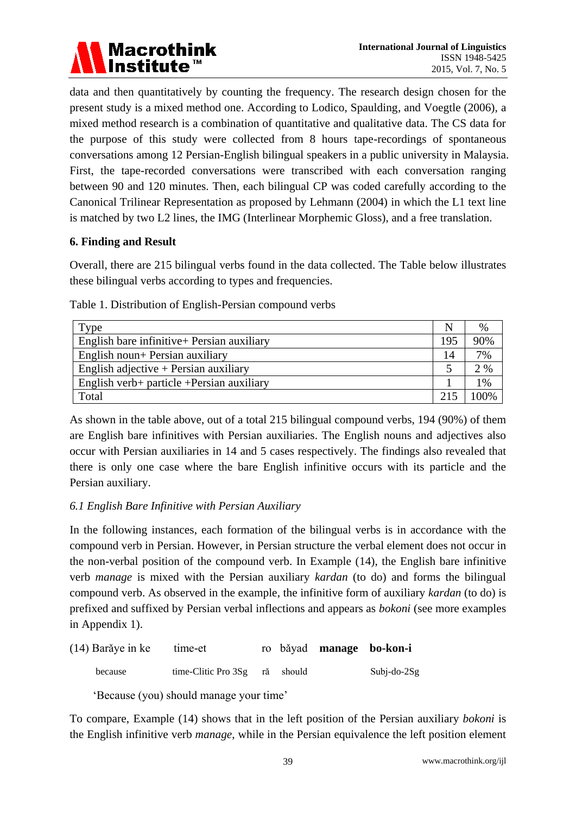

data and then quantitatively by counting the frequency. The research design chosen for the present study is a mixed method one. According to Lodico, Spaulding, and Voegtle (2006), a mixed method research is a combination of quantitative and qualitative data. The CS data for the purpose of this study were collected from 8 hours tape-recordings of spontaneous conversations among 12 Persian-English bilingual speakers in a public university in Malaysia. First, the tape-recorded conversations were transcribed with each conversation ranging between 90 and 120 minutes. Then, each bilingual CP was coded carefully according to the Canonical Trilinear Representation as proposed by Lehmann (2004) in which the L1 text line is matched by two L2 lines, the IMG (Interlinear Morphemic Gloss), and a free translation.

#### **6. Finding and Result**

Overall, there are 215 bilingual verbs found in the data collected. The Table below illustrates these bilingual verbs according to types and frequencies.

| $T$ ype                                     |     | $\%$ |
|---------------------------------------------|-----|------|
| English bare infinitive + Persian auxiliary | 195 | 90%  |
| English noun+ Persian auxiliary             | 14  | 7%   |
| English adjective $+$ Persian auxiliary     |     | 2%   |
| English verb+ particle + Persian auxiliary  |     | 1%   |
| Total                                       | 215 |      |

Table 1. Distribution of English-Persian compound verbs

As shown in the table above, out of a total 215 bilingual compound verbs, 194 (90%) of them are English bare infinitives with Persian auxiliaries. The English nouns and adjectives also occur with Persian auxiliaries in 14 and 5 cases respectively. The findings also revealed that there is only one case where the bare English infinitive occurs with its particle and the Persian auxiliary.

#### *6.1 English Bare Infinitive with Persian Auxiliary*

In the following instances, each formation of the bilingual verbs is in accordance with the compound verb in Persian. However, in Persian structure the verbal element does not occur in the non-verbal position of the compound verb. In Example (14), the English bare infinitive verb *manage* is mixed with the Persian auxiliary *kardan* (to do) and forms the bilingual compound verb. As observed in the example, the infinitive form of auxiliary *kardan* (to do) is prefixed and suffixed by Persian verbal inflections and appears as *bokoni* (see more examples in Appendix 1).

| $(14)$ Barăye in ke | time-et                       |  | ro băyad manage bo-kon-i |                   |
|---------------------|-------------------------------|--|--------------------------|-------------------|
| because             | time-Clitic Pro 3Sg rǎ should |  |                          | $Subi$ -do- $2Sg$ |

'Because (you) should manage your time'

To compare, Example (14) shows that in the left position of the Persian auxiliary *bokoni* is the English infinitive verb *manage*, while in the Persian equivalence the left position element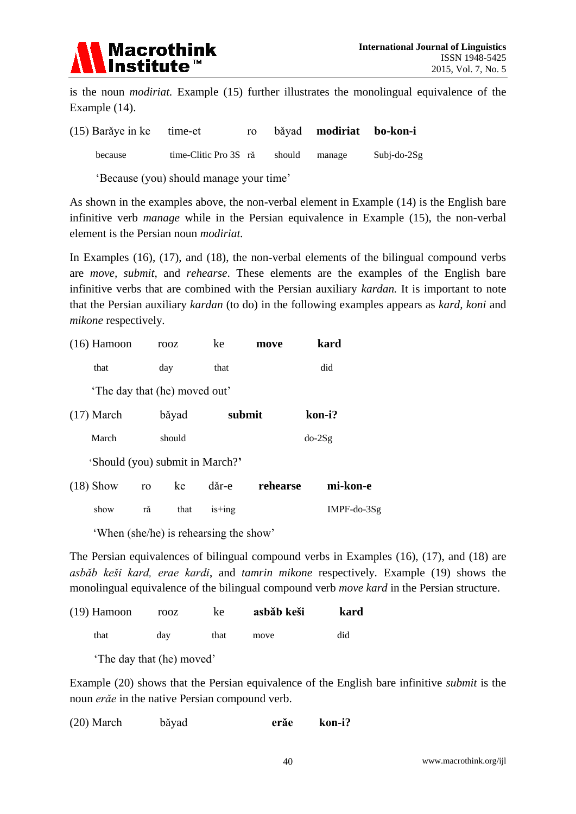

is the noun *modiriat.* Example (15) further illustrates the monolingual equivalence of the Example (14).

| $(15)$ Barăye in ke time-et |                       | r <sub>0</sub> |        | băyad modiriat bo-kon-i |                |
|-----------------------------|-----------------------|----------------|--------|-------------------------|----------------|
| because                     | time-Clitic Pro 3S ră |                | should | manage                  | Subj-do- $2Sg$ |

'Because (you) should manage your time'

As shown in the examples above, the non-verbal element in Example (14) is the English bare infinitive verb *manage* while in the Persian equivalence in Example (15), the non-verbal element is the Persian noun *modiriat.*

In Examples (16), (17), and (18), the non-verbal elements of the bilingual compound verbs are *move, submit*, and *rehearse*. These elements are the examples of the English bare infinitive verbs that are combined with the Persian auxiliary *kardan.* It is important to note that the Persian auxiliary *kardan* (to do) in the following examples appears as *kard, koni* and *mikone* respectively*.*

| $(16)$ Hamoon                   | rooz       | ke       | move     | kard          |
|---------------------------------|------------|----------|----------|---------------|
| that                            | day        | that     |          | did           |
| The day that (he) moved out'    |            |          |          |               |
| $(17)$ March                    | băyad      | submit   |          | kon-i?        |
| March                           | should     |          |          | $do-2Sg$      |
| 'Should (you) submit in March?' |            |          |          |               |
| $(18)$ Show                     | ke<br>ro   | dăr-e    | rehearse | mi-kon-e      |
| show                            | that<br>ră | $is+ing$ |          | $IMPF-do-3Sg$ |

'When (she/he) is rehearsing the show'

The Persian equivalences of bilingual compound verbs in Examples (16), (17), and (18) are *asbǎb keši kard, erae kardi*, and *tamrin mikone* respectively*.* Example (19) shows the monolingual equivalence of the bilingual compound verb *move kard* in the Persian structure.

| $(19)$ Hamoon | rooz | ke   | asbăb keši | kard |
|---------------|------|------|------------|------|
| that          | dav  | that | move       | did  |

'The day that (he) moved'

Example (20) shows that the Persian equivalence of the English bare infinitive *submit* is the noun *erǎe* in the native Persian compound verb.

| $(20)$ March<br>kon-i?<br>băyad<br>erăe |
|-----------------------------------------|
|-----------------------------------------|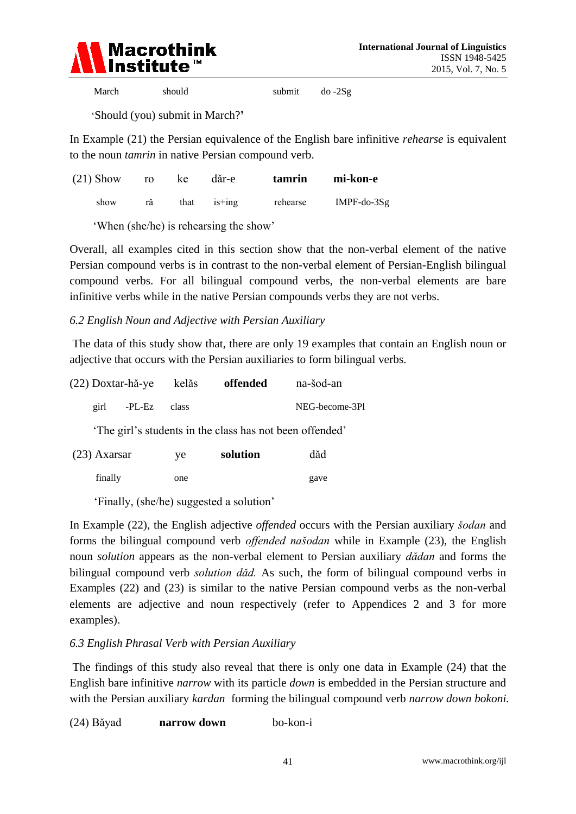

March should submit do -2Sg

'Should (you) submit in March?**'** 

In Example (21) the Persian equivalence of the English bare infinitive *rehearse* is equivalent to the noun *tamrin* in native Persian compound verb.

| $(21)$ Show | ro | ke | dăr-e         | tamrin   | mi-kon-e       |
|-------------|----|----|---------------|----------|----------------|
| show        |    |    | that $is+ing$ | rehearse | IMPF-do- $3Sg$ |

'When (she/he) is rehearsing the show'

Overall, all examples cited in this section show that the non-verbal element of the native Persian compound verbs is in contrast to the non-verbal element of Persian-English bilingual compound verbs. For all bilingual compound verbs, the non-verbal elements are bare infinitive verbs while in the native Persian compounds verbs they are not verbs.

*6.2 English Noun and Adjective with Persian Auxiliary* 

The data of this study show that, there are only 19 examples that contain an English noun or adjective that occurs with the Persian auxiliaries to form bilingual verbs.

|                | (22) Doxtar-hă-ye | kelăs | offended                                                | na-šod-an      |
|----------------|-------------------|-------|---------------------------------------------------------|----------------|
| girl           | -PL-Ez            | class |                                                         | NEG-become-3Pl |
|                |                   |       | The girl's students in the class has not been offended' |                |
| $(23)$ Axarsar |                   | ye    | solution                                                | dǎd            |
| finally        |                   | one   |                                                         | gave           |

'Finally, (she/he) suggested a solution'

In Example (22), the English adjective *offended* occurs with the Persian auxiliary *šodan* and forms the bilingual compound verb *offended našodan* while in Example (23), the English noun *solution* appears as the non-verbal element to Persian auxiliary *dǎdan* and forms the bilingual compound verb *solution dǎd.* As such, the form of bilingual compound verbs in Examples (22) and (23) is similar to the native Persian compound verbs as the non-verbal elements are adjective and noun respectively (refer to Appendices 2 and 3 for more examples).

#### *6.3 English Phrasal Verb with Persian Auxiliary*

The findings of this study also reveal that there is only one data in Example (24) that the English bare infinitive *narrow* with its particle *down* is embedded in the Persian structure and with the Persian auxiliary *kardan* forming the bilingual compound verb *narrow down bokoni.* 

(24) Bǎyad **narrow down** bo-kon-i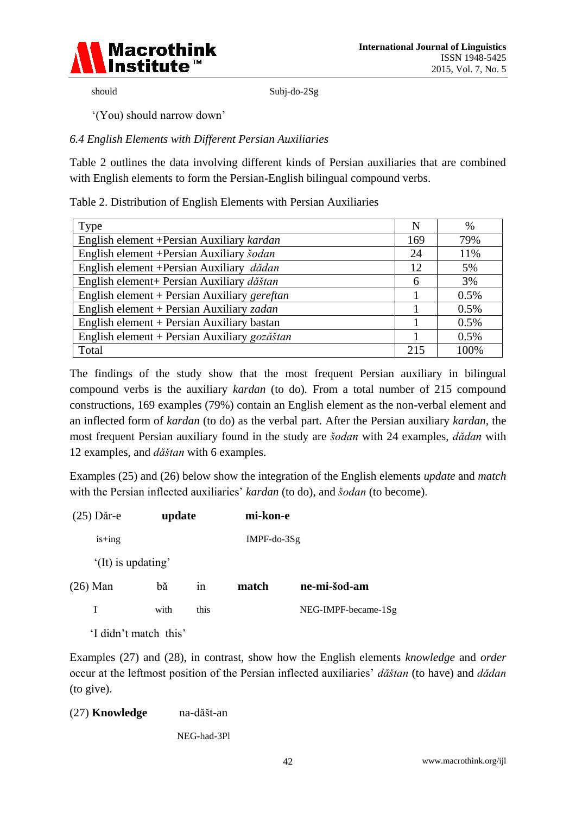

should Subj-do-2Sg

'(You) should narrow down'

### *6.4 English Elements with Different Persian Auxiliaries*

Table 2 outlines the data involving different kinds of Persian auxiliaries that are combined with English elements to form the Persian-English bilingual compound verbs.

Table 2. Distribution of English Elements with Persian Auxiliaries

| Type                                         | N   | %       |
|----------------------------------------------|-----|---------|
| English element + Persian Auxiliary kardan   | 169 | 79%     |
| English element + Persian Auxiliary šodan    | 24  | 11%     |
| English element + Persian Auxiliary dădan    | 12  | 5%      |
| English element+ Persian Auxiliary dăštan    | 6   | 3%      |
| English element + Persian Auxiliary gereftan |     | 0.5%    |
| English element + Persian Auxiliary zadan    |     | 0.5%    |
| English element + Persian Auxiliary bastan   |     | 0.5%    |
| English element + Persian Auxiliary gozăštan |     | $0.5\%$ |
| Total                                        | 215 | 100%    |

The findings of the study show that the most frequent Persian auxiliary in bilingual compound verbs is the auxiliary *kardan* (to do)*.* From a total number of 215 compound constructions, 169 examples (79%) contain an English element as the non-verbal element and an inflected form of *kardan* (to do) as the verbal part. After the Persian auxiliary *kardan,* the most frequent Persian auxiliary found in the study are *šodan* with 24 examples, *dǎdan* with 12 examples, and *dǎštan* with 6 examples.

Examples (25) and (26) below show the integration of the English elements *update* and *match* with the Persian inflected auxiliaries' *kardan* (to do), and *šodan* (to become).

| $(25)$ Dăr-e         | update                |      | mi-kon-e      |                     |
|----------------------|-----------------------|------|---------------|---------------------|
| $is+ing$             |                       |      | $IMPF-do-3Sg$ |                     |
| $'(It)$ is updating' |                       |      |               |                     |
| $(26)$ Man           | bă                    | 1n   | match         | ne-mi-šod-am        |
| L                    | with                  | this |               | NEG-IMPF-became-1Sg |
|                      | 'I didn't match this' |      |               |                     |

Examples (27) and (28), in contrast, show how the English elements *knowledge* and *order* occur at the leftmost position of the Persian inflected auxiliaries' *dǎštan* (to have) and *dǎdan* (to give).

| (27) Knowledge | na-dăšt-an |
|----------------|------------|
|----------------|------------|

NEG-had-3Pl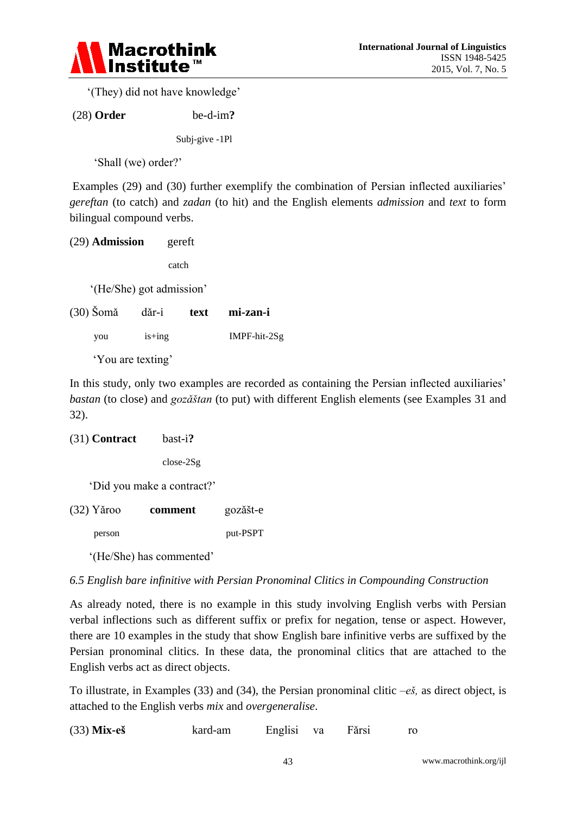

'(They) did not have knowledge'

(28) **Order** be-d-im**?**

Subj-give -1Pl

'Shall (we) order?'

Examples (29) and (30) further exemplify the combination of Persian inflected auxiliaries' *gereftan* (to catch) and *zadan* (to hit) and the English elements *admission* and *text* to form bilingual compound verbs.

| $(29)$ Admission | gereft |
|------------------|--------|
|                  |        |

catch

'(He/She) got admission'

| $(30)$ Šomă | dăr-i             | text | mi-zan-i       |
|-------------|-------------------|------|----------------|
| you         | $is+ing$          |      | $IMPF-hit-2Sg$ |
|             | 'You are texting' |      |                |

In this study, only two examples are recorded as containing the Persian inflected auxiliaries' *bastan* (to close) and *gozǎštan* (to put) with different English elements (see Examples 31 and 32).

```
(31) Contract bast-i?
```
close-2Sg

'Did you make a contract?'

(32) Yǎroo **comment** gozǎšt-e

person put-PSPT

'(He/She) has commented'

#### *6.5 English bare infinitive with Persian Pronominal Clitics in Compounding Construction*

As already noted, there is no example in this study involving English verbs with Persian verbal inflections such as different suffix or prefix for negation, tense or aspect. However, there are 10 examples in the study that show English bare infinitive verbs are suffixed by the Persian pronominal clitics. In these data, the pronominal clitics that are attached to the English verbs act as direct objects.

To illustrate, in Examples (33) and (34), the Persian pronominal clitic –*eš,* as direct object, is attached to the English verbs *mix* and *overgeneralise*.

(33) **Mix-eš** kard-am Englisi va Fǎrsi ro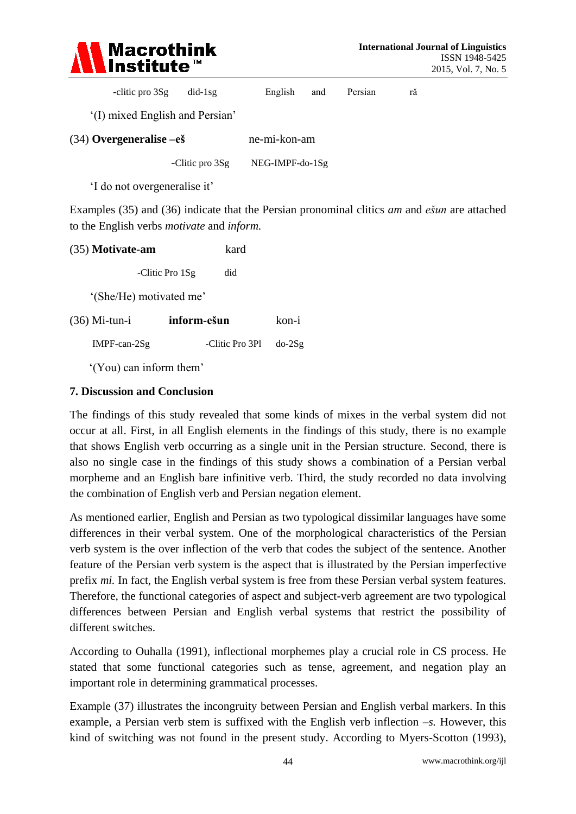

| -clitic pro 3Sg | $did-1sg$ | English and |  | Persian | ră |
|-----------------|-----------|-------------|--|---------|----|
|-----------------|-----------|-------------|--|---------|----|

'(I) mixed English and Persian'

| $(34)$ Overgeneralise $-e\check{\mathbf{s}}$ |                 | ne-mi-kon-am    |  |  |
|----------------------------------------------|-----------------|-----------------|--|--|
|                                              | -Clitic pro 3Sg | NEG-IMPF-do-1Sg |  |  |

'I do not overgeneralise it'

Examples (35) and (36) indicate that the Persian pronominal clitics *am* and *ešun* are attached to the English verbs *motivate* and *inform.*

| (35) Motivate-am        | kard                   |          |  |  |  |  |  |
|-------------------------|------------------------|----------|--|--|--|--|--|
|                         | -Clitic Pro 1Sg<br>did |          |  |  |  |  |  |
| '(She/He) motivated me' |                        |          |  |  |  |  |  |
| $(36)$ Mi-tun-i         | inform-ešun            | kon-i    |  |  |  |  |  |
| $IMPF-can-2Sg$          | -Clitic Pro 3Pl        | $do-2Sg$ |  |  |  |  |  |
|                         |                        |          |  |  |  |  |  |

'(You) can inform them'

#### **7. Discussion and Conclusion**

The findings of this study revealed that some kinds of mixes in the verbal system did not occur at all. First, in all English elements in the findings of this study, there is no example that shows English verb occurring as a single unit in the Persian structure. Second, there is also no single case in the findings of this study shows a combination of a Persian verbal morpheme and an English bare infinitive verb. Third, the study recorded no data involving the combination of English verb and Persian negation element.

As mentioned earlier, English and Persian as two typological dissimilar languages have some differences in their verbal system. One of the morphological characteristics of the Persian verb system is the over inflection of the verb that codes the subject of the sentence. Another feature of the Persian verb system is the aspect that is illustrated by the Persian imperfective prefix *mi.* In fact, the English verbal system is free from these Persian verbal system features. Therefore, the functional categories of aspect and subject-verb agreement are two typological differences between Persian and English verbal systems that restrict the possibility of different switches.

According to Ouhalla (1991), inflectional morphemes play a crucial role in CS process. He stated that some functional categories such as tense, agreement, and negation play an important role in determining grammatical processes.

Example (37) illustrates the incongruity between Persian and English verbal markers. In this example, a Persian verb stem is suffixed with the English verb inflection –*s.* However, this kind of switching was not found in the present study. According to Myers-Scotton (1993),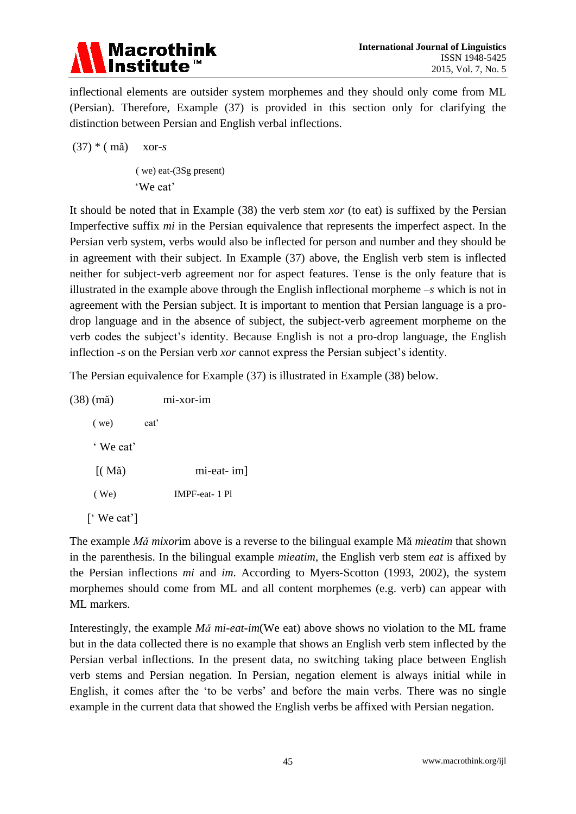

inflectional elements are outsider system morphemes and they should only come from ML (Persian). Therefore, Example (37) is provided in this section only for clarifying the distinction between Persian and English verbal inflections.

(37) \* ( mǎ) xor-*s*

( we) eat-(3Sg present) 'We eat'

It should be noted that in Example (38) the verb stem *xor* (to eat) is suffixed by the Persian Imperfective suffix *mi* in the Persian equivalence that represents the imperfect aspect*.* In the Persian verb system, verbs would also be inflected for person and number and they should be in agreement with their subject. In Example (37) above, the English verb stem is inflected neither for subject-verb agreement nor for aspect features. Tense is the only feature that is illustrated in the example above through the English inflectional morpheme *–s* which is not in agreement with the Persian subject. It is important to mention that Persian language is a prodrop language and in the absence of subject, the subject-verb agreement morpheme on the verb codes the subject's identity. Because English is not a pro-drop language, the English inflection *-s* on the Persian verb *xor* cannot express the Persian subject's identity.

The Persian equivalence for Example (37) is illustrated in Example (38) below.

| $(38)$ (mǎ)           |      | mi-xor-im            |
|-----------------------|------|----------------------|
| $($ we)               | eat' |                      |
| 'We eat'              |      |                      |
| $\left($ Mă $\right)$ |      | mi-eat- im]          |
| (We)                  |      | <b>IMPF-eat-1 Pl</b> |
| ['We eat']            |      |                      |

The example *Mǎ mixor*im above is a reverse to the bilingual example Mǎ *mieatim* that shown in the parenthesis. In the bilingual example *mieatim,* the English verb stem *eat* is affixed by the Persian inflections *mi* and *im*. According to Myers-Scotton (1993, 2002), the system morphemes should come from ML and all content morphemes (e.g. verb) can appear with ML markers.

Interestingly, the example *Mǎ mi-eat-im*(We eat) above shows no violation to the ML frame but in the data collected there is no example that shows an English verb stem inflected by the Persian verbal inflections. In the present data, no switching taking place between English verb stems and Persian negation. In Persian, negation element is always initial while in English, it comes after the 'to be verbs' and before the main verbs. There was no single example in the current data that showed the English verbs be affixed with Persian negation.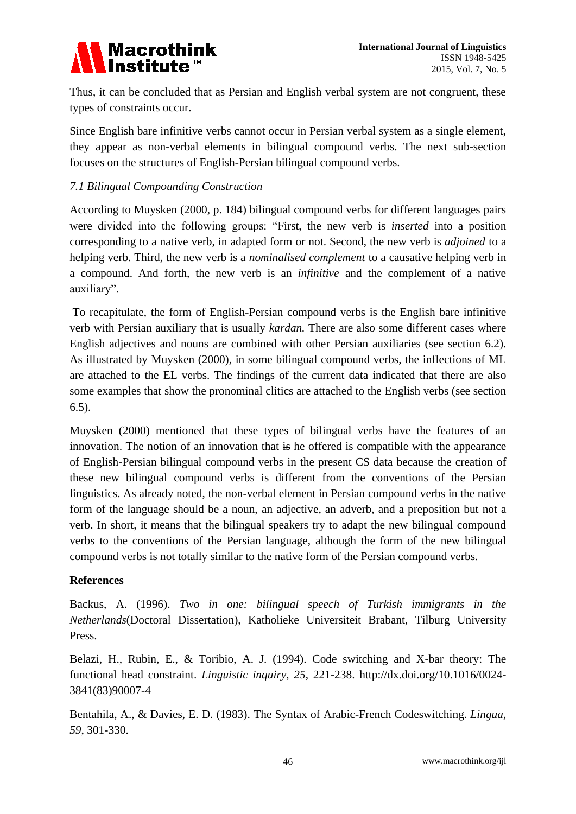

Thus, it can be concluded that as Persian and English verbal system are not congruent, these types of constraints occur.

Since English bare infinitive verbs cannot occur in Persian verbal system as a single element, they appear as non-verbal elements in bilingual compound verbs. The next sub-section focuses on the structures of English-Persian bilingual compound verbs.

#### *7.1 Bilingual Compounding Construction*

According to Muysken (2000, p. 184) bilingual compound verbs for different languages pairs were divided into the following groups: "First, the new verb is *inserted* into a position corresponding to a native verb, in adapted form or not. Second, the new verb is *adjoined* to a helping verb. Third, the new verb is a *nominalised complement* to a causative helping verb in a compound. And forth, the new verb is an *infinitive* and the complement of a native auxiliary".

To recapitulate, the form of English-Persian compound verbs is the English bare infinitive verb with Persian auxiliary that is usually *kardan.* There are also some different cases where English adjectives and nouns are combined with other Persian auxiliaries (see section 6.2). As illustrated by Muysken (2000), in some bilingual compound verbs, the inflections of ML are attached to the EL verbs. The findings of the current data indicated that there are also some examples that show the pronominal clitics are attached to the English verbs (see section 6.5).

Muysken (2000) mentioned that these types of bilingual verbs have the features of an innovation. The notion of an innovation that is he offered is compatible with the appearance of English-Persian bilingual compound verbs in the present CS data because the creation of these new bilingual compound verbs is different from the conventions of the Persian linguistics. As already noted, the non-verbal element in Persian compound verbs in the native form of the language should be a noun, an adjective, an adverb, and a preposition but not a verb. In short, it means that the bilingual speakers try to adapt the new bilingual compound verbs to the conventions of the Persian language, although the form of the new bilingual compound verbs is not totally similar to the native form of the Persian compound verbs.

#### **References**

Backus, A. (1996). *Two in one: bilingual speech of Turkish immigrants in the Netherlands*(Doctoral Dissertation), Katholieke Universiteit Brabant, Tilburg University Press.

Belazi, H., Rubin, E., & Toribio, A. J. (1994). Code switching and X-bar theory: The functional head constraint. *Linguistic inquiry, 25*, 221-238. [http://dx.doi.org/10.1016/0024-](http://dx.doi.org/10.1016/0024-3841(83)90007-4) [3841\(83\)90007-4](http://dx.doi.org/10.1016/0024-3841(83)90007-4)

Bentahila, A., & Davies, E. D. (1983). The Syntax of Arabic-French Codeswitching. *Lingua, 59*, 301-330.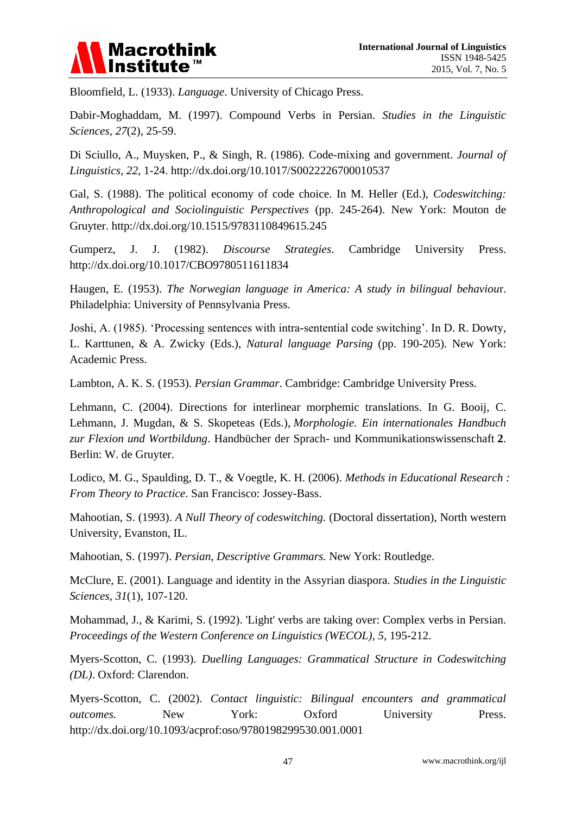

Bloomfield, L. (1933). *Language*. University of Chicago Press.

Dabir-Moghaddam, M. (1997). Compound Verbs in Persian. *Studies in the Linguistic Sciences, 27*(2), 25-59.

Di Sciullo, A., Muysken, P., & Singh, R. (1986). Code-mixing and government. *Journal of Linguistics, 22*, 1-24.<http://dx.doi.org/10.1017/S0022226700010537>

Gal, S. (1988). The political economy of code choice. In M. Heller (Ed.), *Codeswitching: Anthropological and Sociolinguistic Perspectives* (pp. 245-264). New York: Mouton de Gruyter.<http://dx.doi.org/10.1515/9783110849615.245>

Gumperz, J. J. (1982). *Discourse Strategies*. Cambridge University Press. <http://dx.doi.org/10.1017/CBO9780511611834>

Haugen, E. (1953). *The Norwegian language in America: A study in bilingual behaviou*r. Philadelphia: University of Pennsylvania Press.

Joshi, A. (1985). 'Processing sentences with intra-sentential code switching'. In D. R. Dowty, L. Karttunen, & A. Zwicky (Eds.), *Natural language Parsing* (pp. 190-205). New York: Academic Press.

Lambton, A. K. S. (1953). *Persian Grammar*. Cambridge: Cambridge University Press.

Lehmann, C. (2004). Directions for interlinear morphemic translations. In G. Booij, C. Lehmann, J. Mugdan, & S. Skopeteas (Eds.), *Morphologie. Ein internationales Handbuch zur Flexion und Wortbildung*. Handbücher der Sprach- und Kommunikationswissenschaft **2**. Berlin: W. de Gruyter.

Lodico, M. G., Spaulding, D. T., & Voegtle, K. H. (2006). *Methods in Educational Research : From Theory to Practice*. San Francisco: Jossey-Bass.

Mahootian, S. (1993). *A Null Theory of codeswitching.* (Doctoral dissertation), North western University, Evanston, IL.

Mahootian, S. (1997). *Persian, Descriptive Grammars.* New York: Routledge.

McClure, E. (2001). Language and identity in the Assyrian diaspora. *Studies in the Linguistic Sciences, 31*(1), 107-120.

Mohammad, J., & Karimi, S. (1992). 'Light' verbs are taking over: Complex verbs in Persian. *Proceedings of the Western Conference on Linguistics (WECOL), 5*, 195-212.

Myers-Scotton, C. (1993). *Duelling Languages: Grammatical Structure in Codeswitching (DL)*. Oxford: Clarendon.

Myers-Scotton, C. (2002). *Contact linguistic: Bilingual encounters and grammatical outcomes.* New York: Oxford University Press. <http://dx.doi.org/10.1093/acprof:oso/9780198299530.001.0001>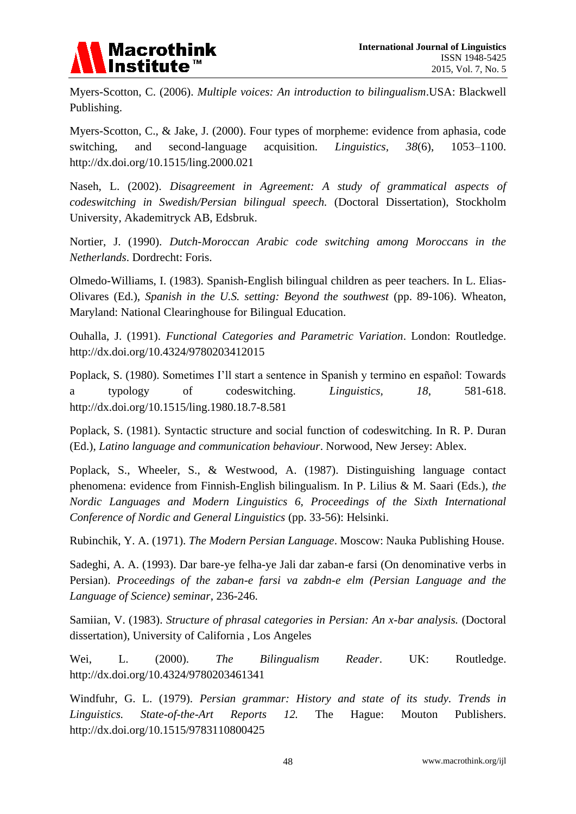

Myers-Scotton, C. (2006). *Multiple voices: An introduction to bilingualism*.USA: Blackwell Publishing.

Myers-Scotton, C., & Jake, J. (2000). Four types of morpheme: evidence from aphasia, code switching, and second-language acquisition. *Linguistics, 38*(6), 1053–1100. <http://dx.doi.org/10.1515/ling.2000.021>

Naseh, L. (2002). *Disagreement in Agreement: A study of grammatical aspects of codeswitching in Swedish/Persian bilingual speech.* (Doctoral Dissertation), Stockholm University, Akademitryck AB, Edsbruk.

Nortier, J. (1990). *Dutch-Moroccan Arabic code switching among Moroccans in the Netherlands*. Dordrecht: Foris.

Olmedo-Williams, I. (1983). Spanish-English bilingual children as peer teachers. In L. Elias-Olivares (Ed.), *Spanish in the U.S. setting: Beyond the southwest* (pp. 89-106). Wheaton, Maryland: National Clearinghouse for Bilingual Education.

Ouhalla, J. (1991). *Functional Categories and Parametric Variation*. London: Routledge. <http://dx.doi.org/10.4324/9780203412015>

Poplack, S. (1980). Sometimes I'll start a sentence in Spanish y termino en español: Towards a typology of codeswitching. *Linguistics, 18*, 581-618. <http://dx.doi.org/10.1515/ling.1980.18.7-8.581>

Poplack, S. (1981). Syntactic structure and social function of codeswitching. In R. P. Duran (Ed.), *Latino language and communication behaviour*. Norwood, New Jersey: Ablex.

Poplack, S., Wheeler, S., & Westwood, A. (1987). Distinguishing language contact phenomena: evidence from Finnish-English bilingualism. In P. Lilius & M. Saari (Eds.), *the Nordic Languages and Modern Linguistics 6, Proceedings of the Sixth International Conference of Nordic and General Linguistics* (pp. 33-56): Helsinki.

Rubinchik, Y. A. (1971). *The Modern Persian Language*. Moscow: Nauka Publishing House.

Sadeghi, A. A. (1993). Dar bare-ye felha-ye Jali dar zaban-e farsi (On denominative verbs in Persian). *Proceedings of the zaban-e farsi va zabdn-e elm (Persian Language and the Language of Science) seminar*, 236-246.

Samiian, V. (1983). *Structure of phrasal categories in Persian: An x-bar analysis.* (Doctoral dissertation), University of California , Los Angeles

Wei, L. (2000). *The Bilingualism Reader*. UK: Routledge. <http://dx.doi.org/10.4324/9780203461341>

Windfuhr, G. L. (1979). *Persian grammar: History and state of its study. Trends in Linguistics. State-of-the-Art Reports 12.* The Hague: Mouton Publishers. <http://dx.doi.org/10.1515/9783110800425>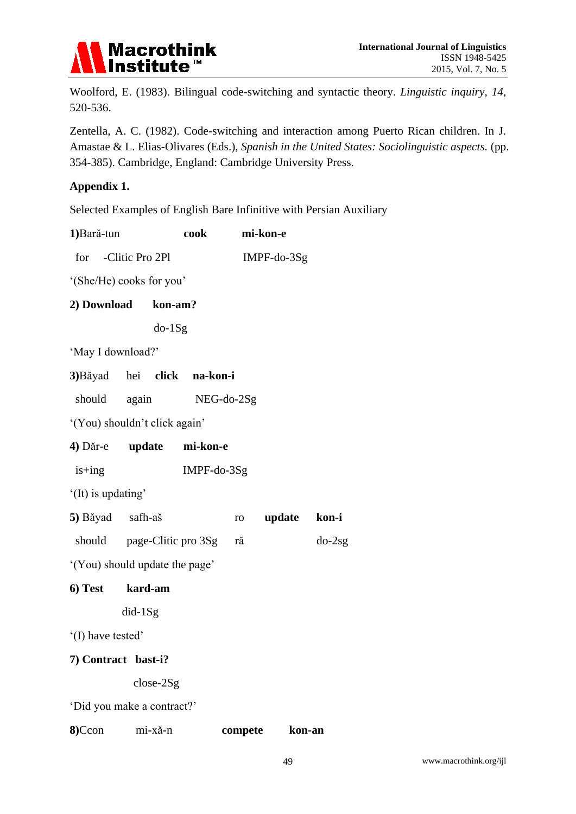

Woolford, E. (1983). Bilingual code-switching and syntactic theory. *Linguistic inquiry, 14*, 520-536.

Zentella, A. C. (1982). Code-switching and interaction among Puerto Rican children. In J. Amastae & L. Elias-Olivares (Eds.), *Spanish in the United States: Sociolinguistic aspects.* (pp. 354-385). Cambridge, England: Cambridge University Press.

#### **Appendix 1.**

Selected Examples of English Bare Infinitive with Persian Auxiliary

| 1) Bară-tun                    |                               | cook        |         | mi-kon-e    |                 |  |
|--------------------------------|-------------------------------|-------------|---------|-------------|-----------------|--|
| for -Clitic Pro 2Pl            |                               |             |         | IMPF-do-3Sg |                 |  |
| '(She/He) cooks for you'       |                               |             |         |             |                 |  |
| 2) Download kon-am?            |                               |             |         |             |                 |  |
|                                | $do-1Sg$                      |             |         |             |                 |  |
| 'May I download?'              |                               |             |         |             |                 |  |
| 3) Băyad hei click na-kon-i    |                               |             |         |             |                 |  |
|                                | should again NEG-do-2Sg       |             |         |             |                 |  |
| '(You) shouldn't click again'  |                               |             |         |             |                 |  |
| 4) Dăr-e update                |                               | mi-kon-e    |         |             |                 |  |
| $is+ing$                       |                               | IMPF-do-3Sg |         |             |                 |  |
| '(It) is updating'             |                               |             |         |             |                 |  |
| 5) Băyad safh-aš               |                               |             |         |             | ro update kon-i |  |
|                                | should page-Clitic pro 3Sg ră |             |         |             | $do-2sg$        |  |
| '(You) should update the page' |                               |             |         |             |                 |  |
| 6) Test kard-am                |                               |             |         |             |                 |  |
|                                | $did-1Sg$                     |             |         |             |                 |  |
| '(I) have tested'              |                               |             |         |             |                 |  |
| 7) Contract bast-i?            |                               |             |         |             |                 |  |
|                                | $close-2Sg$                   |             |         |             |                 |  |
| 'Did you make a contract?'     |                               |             |         |             |                 |  |
| 8)Ccon                         | mi-xǎ-n                       |             | compete |             | kon-an          |  |
|                                |                               |             |         |             |                 |  |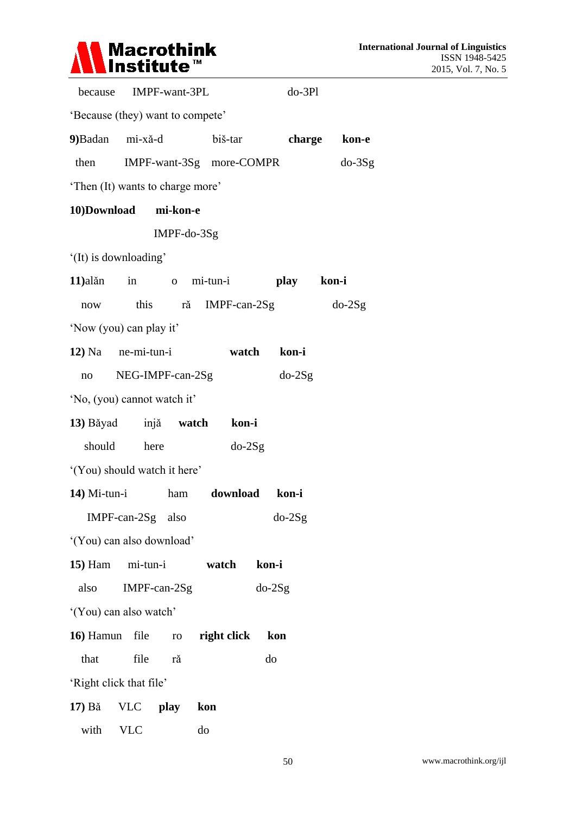

|                                   | because IMPF-want-3PL |               |                          |       | $do-3Pl$ |              |
|-----------------------------------|-----------------------|---------------|--------------------------|-------|----------|--------------|
| 'Because (they) want to compete'  |                       |               |                          |       |          |              |
| 9) Badan mi-xă-d                  |                       |               | biš-tar                  |       |          | charge kon-e |
| then                              |                       |               | IMPF-want-3Sg more-COMPR |       |          | $do-3Sg$     |
| 'Then (It) wants to charge more'  |                       |               |                          |       |          |              |
| 10)Download mi-kon-e              |                       |               |                          |       |          |              |
|                                   |                       | $IMPF-do-3Sg$ |                          |       |          |              |
| '(It) is downloading'             |                       |               |                          |       |          |              |
| 11) alăn in o mi-tun-i play kon-i |                       |               |                          |       |          |              |
| now                               |                       | this ră       | $IMPF-can-2Sg$           |       |          | $do-2Sg$     |
| 'Now (you) can play it'           |                       |               |                          |       |          |              |
| $12)$ Na ne-mi-tun-i              |                       |               | watch                    |       | kon-i    |              |
|                                   | no NEG-IMPF-can-2Sg   |               |                          |       | $do-2Sg$ |              |
| 'No, (you) cannot watch it'       |                       |               |                          |       |          |              |
| 13) Băyad injă watch kon-i        |                       |               |                          |       |          |              |
|                                   | should here           |               | $do-2Sg$                 |       |          |              |
| '(You) should watch it here'      |                       |               |                          |       |          |              |
| $14)$ Mi-tun-i                    |                       |               | ham download kon-i       |       |          |              |
|                                   | IMPF-can-2Sg also     |               |                          |       | $do-2Sg$ |              |
| '(You) can also download'         |                       |               |                          |       |          |              |
| <b>15)</b> Ham                    | mi-tun-i              |               | watch                    | kon-i |          |              |
| also                              | $IMPF-can-2Sg$        |               |                          |       | $do-2Sg$ |              |
| '(You) can also watch'            |                       |               |                          |       |          |              |
| 16) Hamun                         | file                  | ro            | right click              |       | kon      |              |
| that                              | file                  | ră            |                          | do    |          |              |
| 'Right click that file'           |                       |               |                          |       |          |              |
| 17) Bă                            | <b>VLC</b>            | play          | kon                      |       |          |              |
| with                              | <b>VLC</b>            |               | do                       |       |          |              |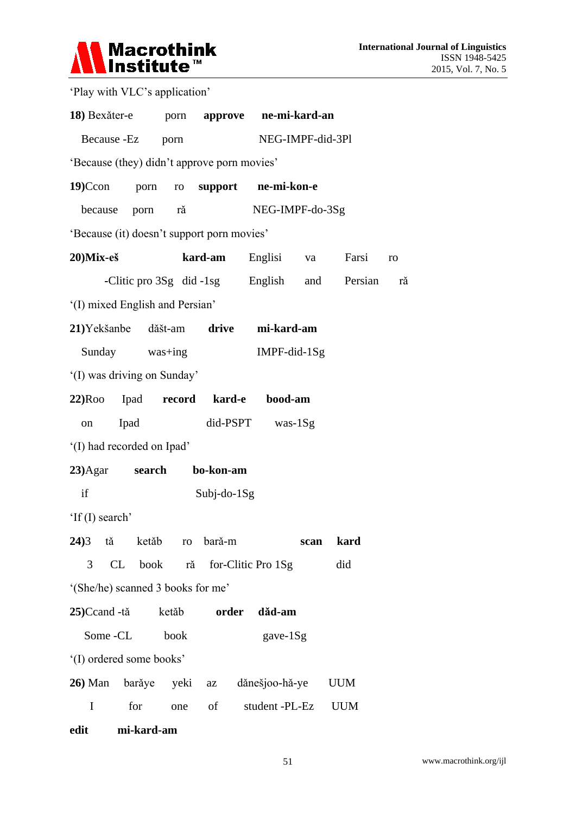

| 'Play with VLC's application'               |             |       |             |                             |      |                                              |    |
|---------------------------------------------|-------------|-------|-------------|-----------------------------|------|----------------------------------------------|----|
| 18) Bexăter-e porn approve ne-mi-kard-an    |             |       |             |                             |      |                                              |    |
| Because -Ez porn                            |             |       |             | NEG-IMPF-did-3Pl            |      |                                              |    |
| 'Because (they) didn't approve porn movies' |             |       |             |                             |      |                                              |    |
| $19$ )Ccon                                  |             |       |             | porn ro support ne-mi-kon-e |      |                                              |    |
| because porn ră                             |             |       |             | NEG-IMPF-do-3Sg             |      |                                              |    |
| 'Because (it) doesn't support porn movies'  |             |       |             |                             |      |                                              |    |
| $20$ )Mix-eš                                |             |       |             | <b>kard-am</b> Englisi      |      | va Farsi                                     | ro |
|                                             |             |       |             |                             |      | -Clitic pro 3Sg did -1sg English and Persian | ră |
| '(I) mixed English and Persian'             |             |       |             |                             |      |                                              |    |
| 21) Yekšanbe dăšt-am drive mi-kard-am       |             |       |             |                             |      |                                              |    |
| Sunday was+ing                              |             |       |             | IMPF-did-1Sg                |      |                                              |    |
| '(I) was driving on Sunday'                 |             |       |             |                             |      |                                              |    |
| 22)Roo Ipad record kard-e bood-am           |             |       |             |                             |      |                                              |    |
| on                                          | Ipad        |       |             | $did-PSPT$ was- $1Sg$       |      |                                              |    |
| '(I) had recorded on Ipad'                  |             |       |             |                             |      |                                              |    |
| 23)Agar search bo-kon-am                    |             |       |             |                             |      |                                              |    |
| if                                          |             |       | Subj-do-1Sg |                             |      |                                              |    |
| 'If (I) search'                             |             |       |             |                             |      |                                              |    |
| $24)3$ tă                                   | ketăb ro    |       | bară-m      |                             | scan | kard                                         |    |
| 3                                           | CL book     | ră    |             | for-Clitic Pro 1Sg          |      | did                                          |    |
| '(She/he) scanned 3 books for me'           |             |       |             |                             |      |                                              |    |
| $25)$ Ccand -tă                             |             | ketăb | order       | dăd-am                      |      |                                              |    |
| Some -CL                                    |             | book  |             | gave-1Sg                    |      |                                              |    |
| '(I) ordered some books'                    |             |       |             |                             |      |                                              |    |
| <b>26</b> ) Man                             | barăye yeki |       | az          | dănešjoo-hă-ye              |      | <b>UUM</b>                                   |    |
| I                                           | for         | one   | of          | student -PL-Ez              |      | <b>UUM</b>                                   |    |

**edit mi-kard-am**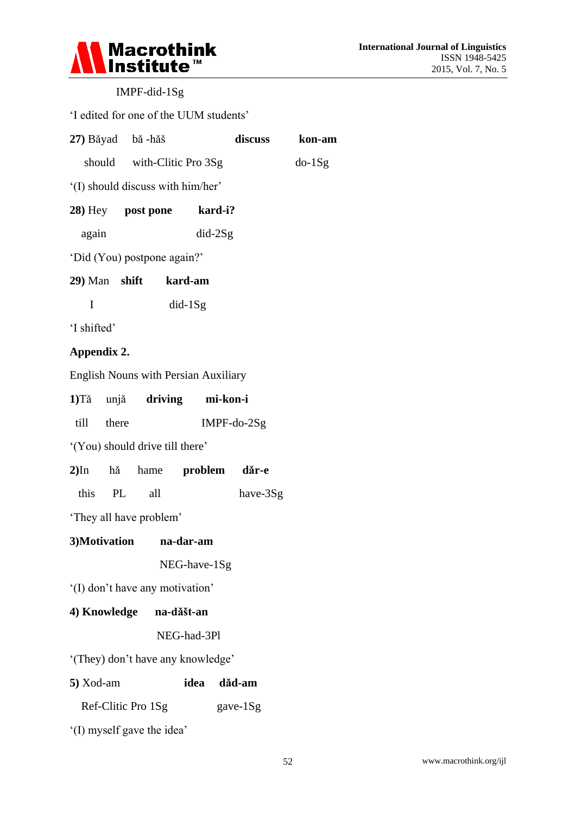

# IMPF-did-1Sg

## 'I edited for one of the UUM students'

| 27) Băyad bă -hăš                           |                            |                            | discuss  | kon-am |  |  |  |
|---------------------------------------------|----------------------------|----------------------------|----------|--------|--|--|--|
|                                             |                            | should with-Clitic Pro 3Sg |          |        |  |  |  |
| '(I) should discuss with him/her'           |                            |                            |          |        |  |  |  |
|                                             | 28) Hey post pone kard-i?  |                            |          |        |  |  |  |
| again                                       |                            | $did-2Sg$                  |          |        |  |  |  |
| 'Did (You) postpone again?'                 |                            |                            |          |        |  |  |  |
|                                             | 29) Man shift kard-am      |                            |          |        |  |  |  |
| I                                           | $did-1Sg$                  |                            |          |        |  |  |  |
| 'I shifted'                                 |                            |                            |          |        |  |  |  |
| Appendix 2.                                 |                            |                            |          |        |  |  |  |
| <b>English Nouns with Persian Auxiliary</b> |                            |                            |          |        |  |  |  |
|                                             | 1)Tă unjă driving mi-kon-i |                            |          |        |  |  |  |
| till there                                  |                            | $IMPF-do-2Sg$              |          |        |  |  |  |
| '(You) should drive till there'             |                            |                            |          |        |  |  |  |
|                                             | 2)In hă hame problem dăr-e |                            |          |        |  |  |  |
| this PL all                                 |                            |                            | have-3Sg |        |  |  |  |
| 'They all have problem'                     |                            |                            |          |        |  |  |  |
| 3)Motivation na-dar-am                      |                            |                            |          |        |  |  |  |
|                                             |                            | NEG-have-1Sg               |          |        |  |  |  |
| '(I) don't have any motivation'             |                            |                            |          |        |  |  |  |
| 4) Knowledge na-dăšt-an                     |                            |                            |          |        |  |  |  |
|                                             | NEG-had-3Pl                |                            |          |        |  |  |  |
| '(They) don't have any knowledge'           |                            |                            |          |        |  |  |  |
| 5) Xod-am                                   |                            | idea                       | dăd-am   |        |  |  |  |
| Ref-Clitic Pro 1Sg<br>gave-1Sg              |                            |                            |          |        |  |  |  |
| (I) myself gave the idea'                   |                            |                            |          |        |  |  |  |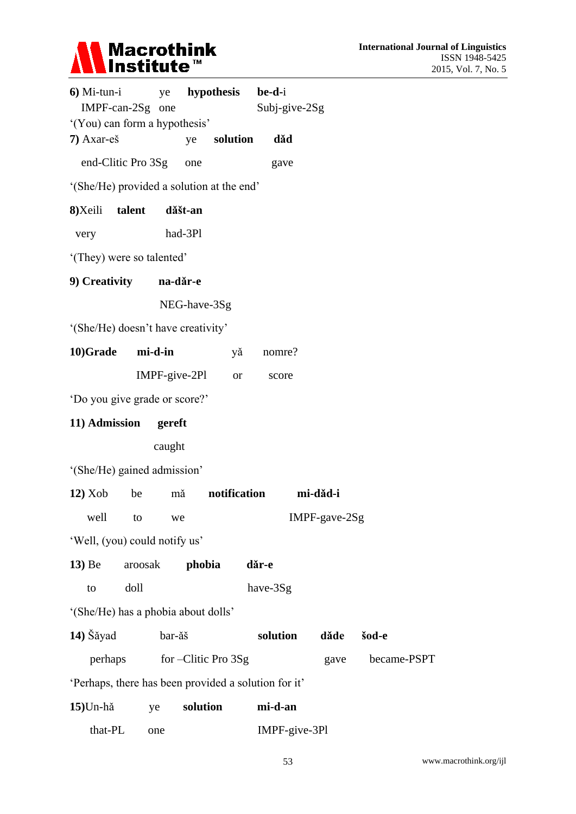

| $6)$ Mi-tun-i                                        | ye <b>hypothesis</b> |         |                     |              | be-d-i        |               |             |
|------------------------------------------------------|----------------------|---------|---------------------|--------------|---------------|---------------|-------------|
| IMPF-can-2Sg one                                     |                      |         |                     |              | Subj-give-2Sg |               |             |
| '(You) can form a hypothesis'<br>7) Axar-eš          |                      |         |                     | solution     |               |               |             |
|                                                      |                      | ye      |                     |              | dăd           |               |             |
| end-Clitic Pro 3Sg                                   |                      |         | one                 |              | gave          |               |             |
| '(She/He) provided a solution at the end'            |                      |         |                     |              |               |               |             |
| 8) Xeili talent                                      |                      | dăšt-an |                     |              |               |               |             |
| very                                                 |                      | had-3Pl |                     |              |               |               |             |
| '(They) were so talented'                            |                      |         |                     |              |               |               |             |
| 9) Creativity na-dăr-e                               |                      |         |                     |              |               |               |             |
|                                                      |                      |         | NEG-have-3Sg        |              |               |               |             |
| '(She/He) doesn't have creativity'                   |                      |         |                     |              |               |               |             |
| 10)Grade mi-d-in                                     |                      |         |                     | yă           | nomre?        |               |             |
|                                                      |                      |         | $IMPF-give-2PI$     | <b>or</b>    | score         |               |             |
| 'Do you give grade or score?'                        |                      |         |                     |              |               |               |             |
| 11) Admission gereft                                 |                      |         |                     |              |               |               |             |
|                                                      |                      | caught  |                     |              |               |               |             |
| '(She/He) gained admission'                          |                      |         |                     |              |               |               |             |
| 12) Xob                                              | be                   | mă      |                     | notification |               | mi-dǎd-i      |             |
| well to we                                           |                      |         |                     |              |               | IMPF-gave-2Sg |             |
| 'Well, (you) could notify us'                        |                      |         |                     |              |               |               |             |
| $13)$ Be                                             | aroosak              |         | phobia              |              | dăr-e         |               |             |
| to                                                   | doll                 |         |                     |              | have-3Sg      |               |             |
| '(She/He) has a phobia about dolls'                  |                      |         |                     |              |               |               |             |
| 14) Šăyad                                            |                      | bar-ăš  |                     |              | solution      | dăde          | šod-e       |
| perhaps                                              |                      |         | for –Clitic Pro 3Sg |              |               | gave          | became-PSPT |
| 'Perhaps, there has been provided a solution for it' |                      |         |                     |              |               |               |             |
| $15$ Un-hă                                           | ye                   |         | solution            |              | mi-d-an       |               |             |
|                                                      |                      |         |                     |              |               |               |             |

that-PL one IMPF-give-3Pl